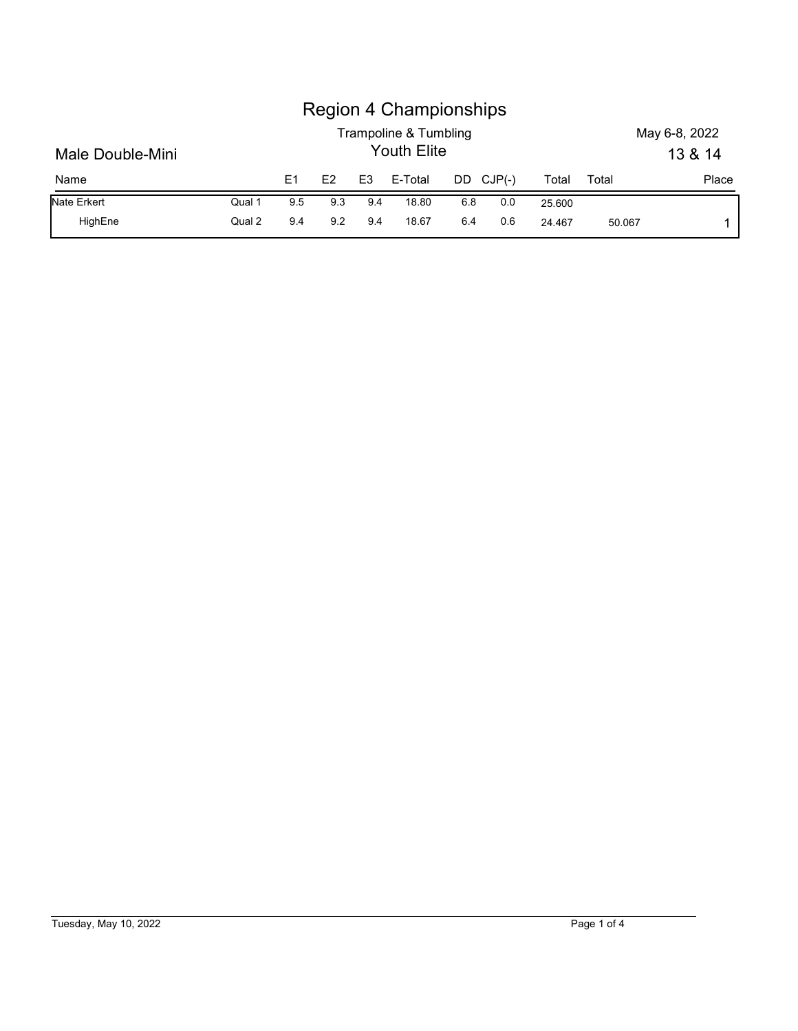|                  |        |                |     |                | <b>Region 4 Championships</b>               |     |          |        |       |                          |       |
|------------------|--------|----------------|-----|----------------|---------------------------------------------|-----|----------|--------|-------|--------------------------|-------|
| Male Double-Mini |        |                |     |                | Trampoline & Tumbling<br><b>Youth Elite</b> |     |          |        |       | May 6-8, 2022<br>13 & 14 |       |
| Name             |        | E <sub>1</sub> | E2  | E <sub>3</sub> | E-Total                                     | DD  | $CJP(-)$ | Total  | Total |                          | Place |
| Nate Erkert      | Qual 1 | 9.5            | 9.3 | 9.4            | 18.80                                       | 6.8 | 0.0      | 25.600 |       |                          |       |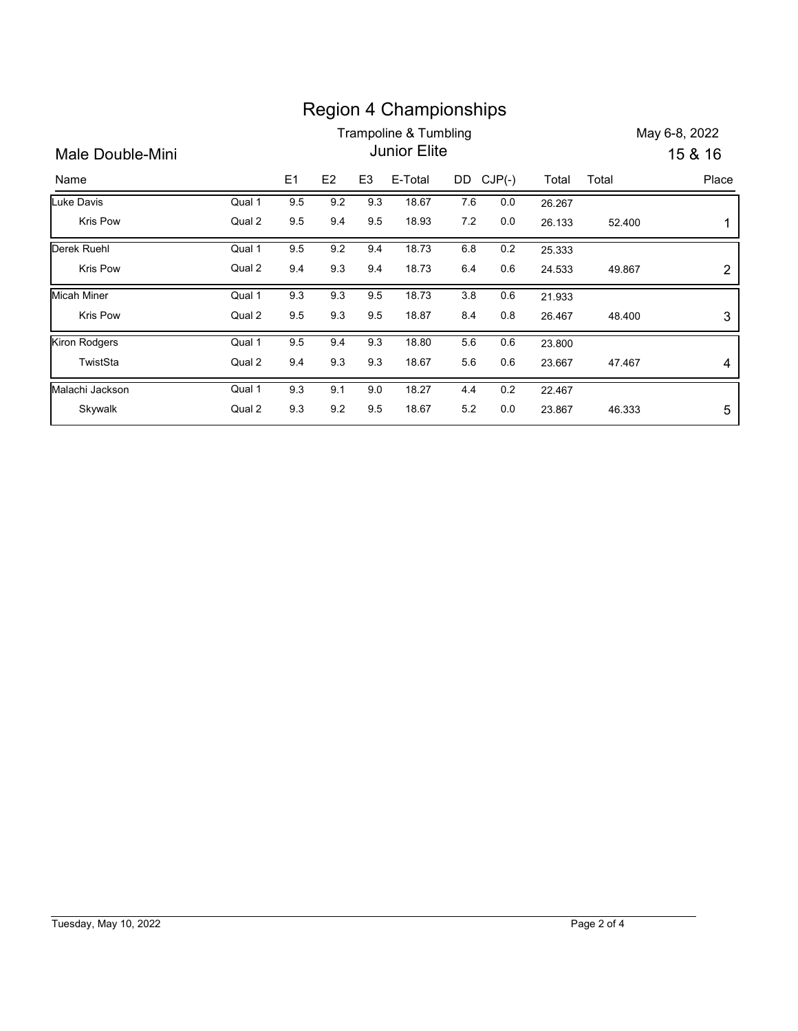|                                |        |     |                |                | <b>Region 4 Championships</b> |       |           |        |        |               |
|--------------------------------|--------|-----|----------------|----------------|-------------------------------|-------|-----------|--------|--------|---------------|
|                                |        |     |                |                | Trampoline & Tumbling         |       |           |        |        | May 6-8, 2022 |
| <b>Male Double-Mini</b>        |        |     |                |                | Junior Elite                  |       |           |        |        | 15 & 16       |
| Name                           |        | E1  | E <sub>2</sub> | E <sub>3</sub> | E-Total                       |       | DD CJP(-) | Total  | Total  | Place         |
| <b>Luke Davis</b>              | Qual 1 | 9.5 | 9.2            | 9.3            | 18.67                         | 7.6   | $0.0\,$   | 26.267 |        |               |
| Kris Pow                       | Qual 2 | 9.5 | 9.4            | 9.5            | 18.93                         | $7.2$ | $0.0\,$   | 26.133 | 52.400 | 1             |
| Derek Ruehl                    | Qual 1 | 9.5 | 9.2            | 9.4            | 18.73                         | 6.8   | 0.2       | 25.333 |        |               |
| Kris Pow                       | Qual 2 | 9.4 | 9.3            | 9.4            | 18.73                         | 6.4   | 0.6       | 24.533 | 49.867 | 2             |
|                                | Qual 1 | 9.3 | 9.3            | 9.5            | 18.73                         | 3.8   | 0.6       | 21.933 |        |               |
|                                |        |     | 9.3            | 9.5            | 18.87                         | 8.4   | 0.8       | 26.467 | 48.400 | 3             |
| <b>Micah Miner</b><br>Kris Pow | Qual 2 | 9.5 |                |                |                               |       | 0.6       | 23.800 |        |               |
| <b>Kiron Rodgers</b>           | Qual 1 | 9.5 | 9.4            | 9.3            | 18.80                         | 5.6   |           |        |        |               |
| TwistSta                       | Qual 2 | 9.4 | 9.3            | 9.3            | 18.67                         | 5.6   | $0.6\,$   | 23.667 | 47.467 | 4             |
| Malachi Jackson                | Qual 1 | 9.3 | 9.1            | 9.0            | 18.27                         | 4.4   | 0.2       | 22.467 |        |               |

## Tuesday, May 10, 2022 Page 2 of 4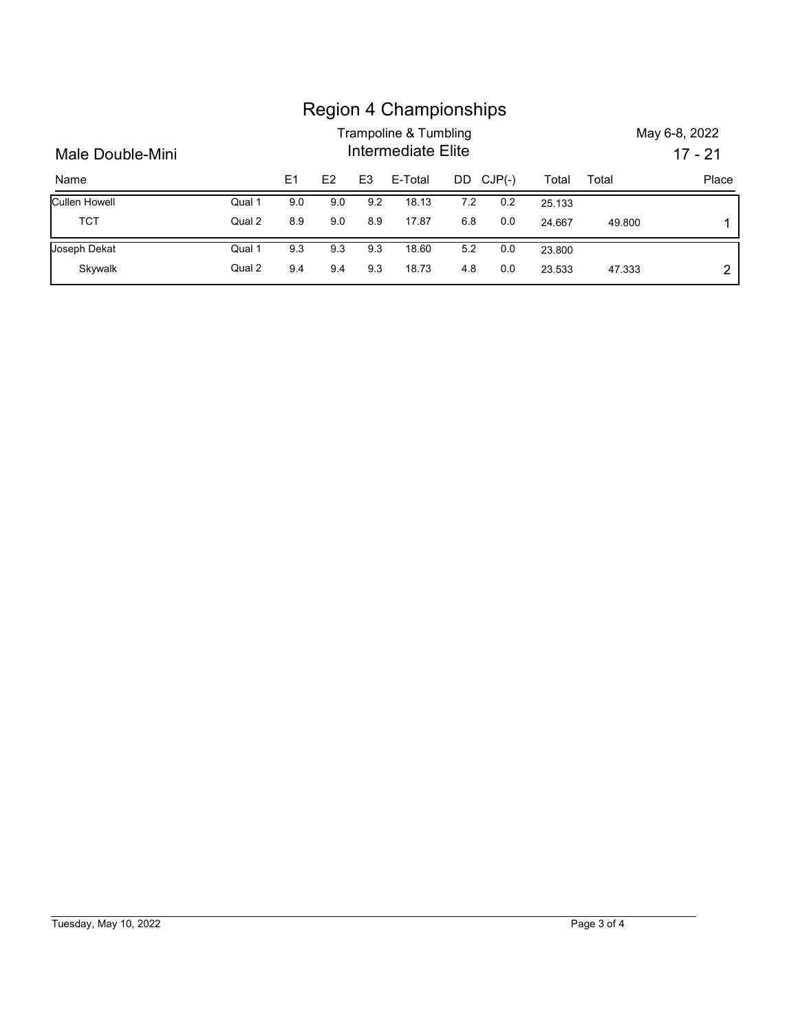|                  |        |     |     |                | <b>Region 4 Championships</b><br><b>Trampoline &amp; Tumbling</b> |     |          |        |        | May 6-8, 2022 |
|------------------|--------|-----|-----|----------------|-------------------------------------------------------------------|-----|----------|--------|--------|---------------|
|                  |        |     |     | $17 - 21$      |                                                                   |     |          |        |        |               |
| Male Double-Mini |        |     |     |                | Intermediate Elite                                                |     |          |        |        |               |
| Name             |        | E1  | E2  | E <sub>3</sub> | E-Total                                                           | DD  | $CJP(-)$ | Total  | Total  | Place         |
| Cullen Howell    | Qual 1 | 9.0 | 9.0 | 9.2            | 18.13                                                             | 7.2 | $0.2\,$  | 25.133 |        |               |
| <b>TCT</b>       | Qual 2 | 8.9 | 9.0 | 8.9            | 17.87                                                             | 6.8 | 0.0      | 24.667 | 49.800 |               |
| Joseph Dekat     | Qual 1 | 9.3 | 9.3 | 9.3            | 18.60                                                             | 5.2 | 0.0      | 23.800 |        |               |

## Region 4 Championships